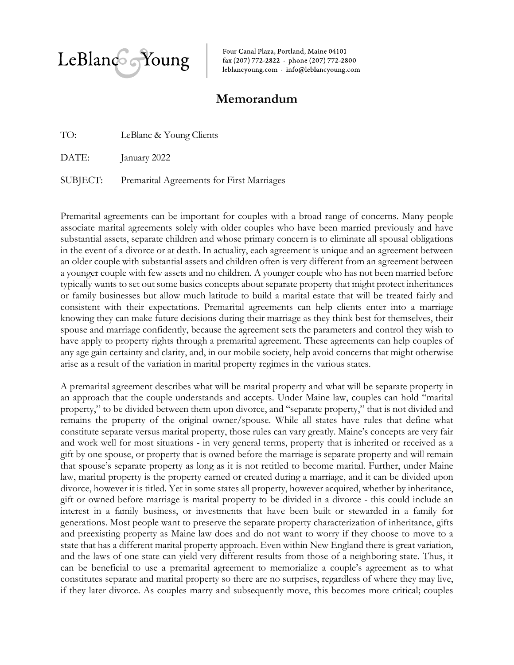

Four Canal Plaza, Portland, Maine 04101 fax (207) 772-2822 · phone (207) 772-2800 leblancyoung.com · info@leblancyoung.com

## **Memorandum**

TO: LeBlanc & Young Clients

DATE: January 2022

SUBJECT: Premarital Agreements for First Marriages

Premarital agreements can be important for couples with a broad range of concerns. Many people associate marital agreements solely with older couples who have been married previously and have substantial assets, separate children and whose primary concern is to eliminate all spousal obligations in the event of a divorce or at death. In actuality, each agreement is unique and an agreement between an older couple with substantial assets and children often is very different from an agreement between a younger couple with few assets and no children. A younger couple who has not been married before typically wants to set out some basics concepts about separate property that might protect inheritances or family businesses but allow much latitude to build a marital estate that will be treated fairly and consistent with their expectations. Premarital agreements can help clients enter into a marriage knowing they can make future decisions during their marriage as they think best for themselves, their spouse and marriage confidently, because the agreement sets the parameters and control they wish to have apply to property rights through a premarital agreement. These agreements can help couples of any age gain certainty and clarity, and, in our mobile society, help avoid concerns that might otherwise arise as a result of the variation in marital property regimes in the various states.

A premarital agreement describes what will be marital property and what will be separate property in an approach that the couple understands and accepts. Under Maine law, couples can hold "marital property," to be divided between them upon divorce, and "separate property," that is not divided and remains the property of the original owner/spouse. While all states have rules that define what constitute separate versus marital property, those rules can vary greatly. Maine's concepts are very fair and work well for most situations - in very general terms, property that is inherited or received as a gift by one spouse, or property that is owned before the marriage is separate property and will remain that spouse's separate property as long as it is not retitled to become marital. Further, under Maine law, marital property is the property earned or created during a marriage, and it can be divided upon divorce, however it is titled. Yet in some states all property, however acquired, whether by inheritance, gift or owned before marriage is marital property to be divided in a divorce - this could include an interest in a family business, or investments that have been built or stewarded in a family for generations. Most people want to preserve the separate property characterization of inheritance, gifts and preexisting property as Maine law does and do not want to worry if they choose to move to a state that has a different marital property approach. Even within New England there is great variation, and the laws of one state can yield very different results from those of a neighboring state. Thus, it can be beneficial to use a premarital agreement to memorialize a couple's agreement as to what constitutes separate and marital property so there are no surprises, regardless of where they may live, if they later divorce. As couples marry and subsequently move, this becomes more critical; couples